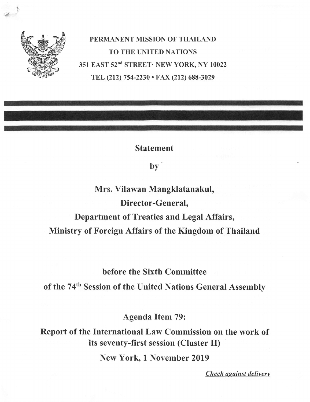

PERMANENT MISSION OF THAILAND TO THE UNITED NATIONS 351 EAST 52<sup>nd</sup> STREET· NEW YORK, NY 10022 TEL (212) 754-2230 • FAX (212) 688-3029

Statement

 $by$ 

Mrs. Vilawan Mangklatanakul, Director-General, Department of Treaties and Legal Affairs, Ministry of Foreign Affairs of the Kingdom of Thailand

before the Sixth Committee

of the 74<sup>th</sup> Session of the United Nations General Assembly

Agenda Item 79:

Report of the International Law Commission on the work of its seventy-first session (Cluster II)

New York, 1 November 2019

Check against delivery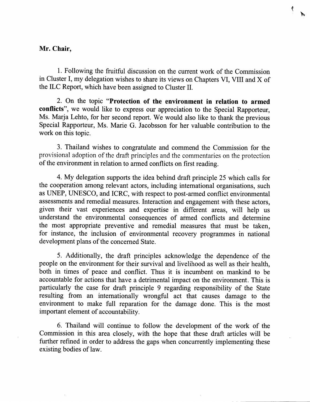## Mr. Chair,

1. Following the fruitful discussion on the current work of the Commission in Cluster I, my delegation wishes to share its views on Chapters VI, VIII and X of the ILC Report, which have been assigned to Cluster II.

2. On the topic "Protection of the environment in relation to armed conflicts", we would like to express our appreciation to the Special Rapporteur, Ms. Marja Lehto, for her second report. We would also like to thank the previous Special Rapporteur, Ms. Marie G. Jacobsson for her valuable contribution to the work on this topic.

3. Thailand wishes to congratulate and commend the Commission for the provisional adoption of the draft principles and the commentaries on the protection of the environment in relation to armed conflicts on first reading.

4. My delegation supports the idea behind draft principle 25 which calls for the cooperation among relevant actors, including intemational organisations, such as UNEP, UNESCO, and ICRC, with respect to post-armed conflict environmental assessments and remedial measures. Interaction and engagement with these actors, given their vast experiences and expertise in different areas, will help us understand the environmental consequences of armed conflicts and determine the most appropriate preventive and remedial measures that must be taken, for instance, the inclusion of environmental recovery programmes in national development plans of the concerned State.

5. Additionally, the draft principles acknowledge the dependence of the people on the environment for their survival and livelihood as well as their health, both in times of peace and conflict. Thus it is incumbent on mankind to be accountable for actions that have a detrimental impact on the environment. This is particularly the case for draft principle 9 regarding responsibility of the State resulting from an internationally wrongful act that causes damage to the environment to make full reparation for the damage done. This is the most important element of accountability.

6. Thailand will continue to follow the development of the work of the Commission in this area closely, with the hope that these draft articles will be further refined in order to address the gaps when concurrently implementing these existing bodies of law.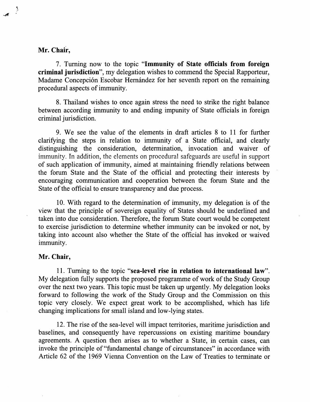## Mr. Chair,

7. Turning now to the topic "Immunity of State officials from foreign criminal jurisdiction", my delegation wishes to commend the Special Rapporteur, Madame Concepción Escobar Hernández for her seventh report on the remaining procedural aspects of immunity.

8. Thailand wishes to once again stress the need to strike the right balance between according immunity to and ending impunity of State officials in foreign criminal jurisdiction.

9. We see the value of the elements in draft articles 8 to 11 for further clarifying the steps in relation to immunity of a State official, and clearly distinguishing the consideration, determination, invocation and waiver of immunity. In addition, the elements on procedural safeguards are useful in support of such application of immunity, aimed at maintaining friendly relations between the forum State and the State of the official and protecting their interests by encouraging communication and cooperation between the forum State and the State of the official to ensure transparency and due process.

10. With regard to the determination of immunity, my delegation is of the view that the principle of sovereign equality of States should be underlined and taken into due consideration. Therefore, the forum State court would be competent to exercise jurisdiction to determine whether immunity can be invoked or not, by taking into account also whether the State of the official has invoked or waived immunity.

## Mr. Chair,

11. Turning to the topic "sea-level rise in relation to international law". My delegation fully supports the proposed programme of work of the Study Group over the next two years. This topic must be taken up urgently. My delegation looks forward to following the work of the Study Group and the Commission on this topic very closely. We expect great work to be accomplished, which has life changing implications for small island and low-lying states.

12. The rise of the sea-level will impact territories, maritime jurisdiction and baselines, and consequently have repercussions on existing maritime boundary agreements. A question then arises as to whether a State, in certain cases, can invoke the principle of "fundamental change of circumstances" in accordance with Article 62 of the 1969 Vienna Convention on the Law of Treaties to terminate or